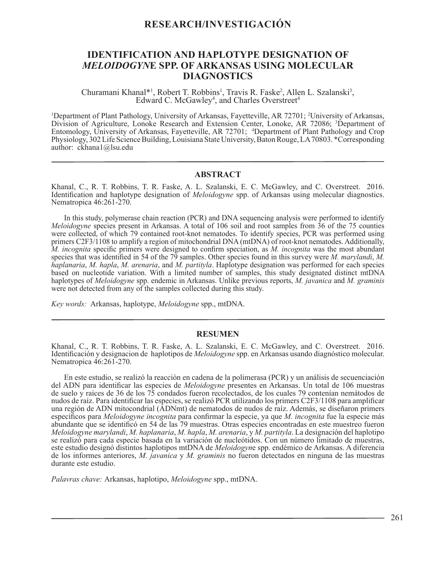# **RESEARCH/INVESTIGACIÓN**

# **IDENTIFICATION AND HAPLOTYPE DESIGNATION OF**  *MELOIDOGYN***E SPP. OF ARKANSAS USING MOLECULAR DIAGNOSTICS**

Churamani Khanal\*<sup>1</sup>, Robert T. Robbins<sup>1</sup>, Travis R. Faske<sup>2</sup>, Allen L. Szalanski<sup>3</sup>, Edward C. McGawley<sup>4</sup>, and Charles Overstreet<sup>4</sup> Edward C. McGawley<sup>4</sup>, and Charles Overstreet<sup>4</sup>

1 Department of Plant Pathology, University of Arkansas, Fayetteville, AR 72701; 2 University of Arkansas, Division of Agriculture, Lonoke Research and Extension Center, Lonoke, AR 72086; <sup>3</sup>Department of Entomology, University of Arkansas, Fayetteville, AR 72701; 4 Department of Plant Pathology and Crop Physiology, 302 Life Science Building, Louisiana State University, Baton Rouge, LA 70803. \*Corresponding author: ckhana1@lsu.edu

# **ABSTRACT**

Khanal, C., R. T. Robbins, T. R. Faske, A. L. Szalanski, E. C. McGawley, and C. Overstreet. 2016. Identification and haplotype designation of *Meloidogyne* spp. of Arkansas using molecular diagnostics. Nematropica 46:261-270.

In this study, polymerase chain reaction (PCR) and DNA sequencing analysis were performed to identify *Meloidogyne* species present in Arkansas. A total of 106 soil and root samples from 36 of the 75 counties were collected, of which 79 contained root-knot nematodes. To identify species, PCR was performed using primers C2F3/1108 to amplify a region of mitochondrial DNA (mtDNA) of root-knot nematodes. Additionally, *M. incognita* specific primers were designed to confirm speciation, as *M. incognita* was the most abundant species that was identified in 54 of the 79 samples. Other species found in this survey were *M. marylandi*, *M. haplanaria*, *M. hapla*, *M. arenaria*, and *M. partityla*. Haplotype designation was performed for each species based on nucleotide variation. With a limited number of samples, this study designated distinct mtDNA haplotypes of *Meloidogyne* spp. endemic in Arkansas. Unlike previous reports, *M. javanica* and *M. graminis* were not detected from any of the samples collected during this study.

*Key words:* Arkansas, haplotype, *Meloidogyne* spp., mtDNA.

# **RESUMEN**

Khanal, C., R. T. Robbins, T. R. Faske, A. L. Szalanski, E. C. McGawley, and C. Overstreet. 2016. Identificación y designacion de haplotipos de *Meloidogyne* spp. en Arkansas usando diagnóstico molecular. Nematropica 46:261-270.

En este estudio, se realizó la reacción en cadena de la polimerasa (PCR) y un análisis de secuenciación del ADN para identificar las especies de *Meloidogyne* presentes en Arkansas. Un total de 106 muestras de suelo y raíces de 36 de los 75 condados fueron recolectados, de los cuales 79 contenían nemátodos de nudos de raíz. Para identificar las especies, se realizó PCR utilizando los primers C2F3/1108 para amplificar una región de ADN mitocondrial (ADNmt) de nematodos de nudos de raíz. Además, se diseñaron primers específicos para *Meloidogyne incognita* para confirmar la especie, ya que *M. incognita* fue la especie más abundante que se identificó en 54 de las 79 muestras. Otras especies encontradas en este muestreo fueron *Meloidogyne marylandi*, *M. haplanaria*, *M. hapla*, *M. arenaria*, y *M. partityla*. La designación del haplotipo se realizó para cada especie basada en la variación de nucleótidos. Con un número limitado de muestras, este estudio designó distintos haplotipos mtDNA de *Meloidogyn*e spp. endémico de Arkansas. A diferencia de los informes anteriores, *M. javanica* y *M. graminis* no fueron detectados en ninguna de las muestras durante este estudio.

*Palavras chave:* Arkansas, haplotipo, *Meloidogyne* spp., mtDNA.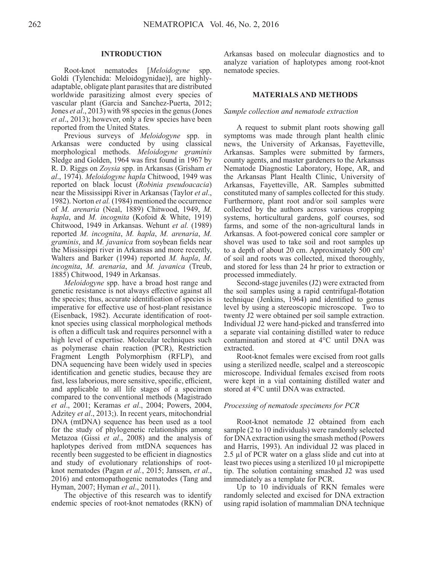#### **INTRODUCTION**

Root-knot nematodes [*Meloidogyne* spp. Goldi (Tylenchida: Meloidogynidae)], are highlyadaptable, obligate plant parasites that are distributed worldwide parasitizing almost every species of vascular plant (Garcia and Sanchez-Puerta, 2012; Jones *et al*., 2013) with 98 species in the genus (Jones *et al*., 2013); however, only a few species have been reported from the United States.

Previous surveys of *Meloidogyne* spp. in Arkansas were conducted by using classical morphological methods. *Meloidogyne graminis* Sledge and Golden, 1964 was first found in 1967 by R. D. Riggs on *Zoysia* spp. in Arkansas (Grisham *et al*., 1974). *Meloidogyne hapla* Chitwood, 1949 was reported on black locust (*Robinia pseudoacacia*) near the Mississippi River in Arkansas (Taylor *et al*., 1982). Norton *et al.* (1984) mentioned the occurrence of *M. arenaria* (Neal, 1889) Chitwood, 1949, *M. hapla*, and *M. incognita* (Kofoid & White, 1919) Chitwood, 1949 in Arkansas. Wehunt *et al.* (1989) reported *M. incognita*, *M. hapla*, *M. arenaria*, *M. graminis*, and *M. javanica* from soybean fields near the Mississippi river in Arkansas and more recently, Walters and Barker (1994) reported *M. hapla*, *M. incognita*, *M. arenaria*, and *M. javanica* (Treub, 1885) Chitwood, 1949 in Arkansas.

*Meloidogyne* spp. have a broad host range and genetic resistance is not always effective against all the species; thus, accurate identification of species is imperative for effective use of host-plant resistance (Eisenback, 1982). Accurate identification of rootknot species using classical morphological methods is often a difficult task and requires personnel with a high level of expertise. Molecular techniques such as polymerase chain reaction (PCR), Restriction Fragment Length Polymorphism (RFLP), and DNA sequencing have been widely used in species identification and genetic studies, because they are fast, less laborious, more sensitive, specific, efficient, and applicable to all life stages of a specimen compared to the conventional methods (Magistrado *et al*., 2001; Keramas *et al*., 2004; Powers, 2004, Adzitey *et al*., 2013;). In recent years, mitochondrial DNA (mtDNA) sequence has been used as a tool for the study of phylogenetic relationships among Metazoa (Gissi *et al*., 2008) and the analysis of haplotypes derived from mtDNA sequences has recently been suggested to be efficient in diagnostics and study of evolutionary relationships of rootknot nematodes (Pagan *et al.*, 2015; Janssen, *et al*., 2016) and entomopathogenic nematodes (Tang and Hyman, 2007; Hyman *et al*., 2011).

The objective of this research was to identify endemic species of root-knot nematodes (RKN) of Arkansas based on molecular diagnostics and to analyze variation of haplotypes among root-knot nematode species.

### **MATERIALS AND METHODS**

#### *Sample collection and nematode extraction*

A request to submit plant roots showing gall symptoms was made through plant health clinic news, the University of Arkansas, Fayetteville, Arkansas. Samples were submitted by farmers, county agents, and master gardeners to the Arkansas Nematode Diagnostic Laboratory, Hope, AR, and the Arkansas Plant Health Clinic, University of Arkansas, Fayetteville, AR. Samples submitted constituted many of samples collected for this study. Furthermore, plant root and/or soil samples were collected by the authors across various cropping systems, horticultural gardens, golf courses, sod farms, and some of the non-agricultural lands in Arkansas. A foot-powered conical core sampler or shovel was used to take soil and root samples up to a depth of about 20 cm. Approximately 500 cm3 of soil and roots was collected, mixed thoroughly, and stored for less than 24 hr prior to extraction or processed immediately.

Second-stage juveniles (J2) were extracted from the soil samples using a rapid centrifugal-flotation technique (Jenkins, 1964) and identified to genus level by using a stereoscopic microscope. Two to twenty J2 were obtained per soil sample extraction. Individual J2 were hand-picked and transferred into a separate vial containing distilled water to reduce contamination and stored at 4°C until DNA was extracted.

Root-knot females were excised from root galls using a sterilized needle, scalpel and a stereoscopic microscope. Individual females excised from roots were kept in a vial containing distilled water and stored at 4°C until DNA was extracted.

#### *Processing of nematode specimens for PCR*

Root-knot nematode J2 obtained from each sample (2 to 10 individuals) were randomly selected for DNA extraction using the smash method (Powers and Harris, 1993). An individual J2 was placed in 2.5 µl of PCR water on a glass slide and cut into at least two pieces using a sterilized 10 µl micropipette tip. The solution containing smashed J2 was used immediately as a template for PCR.

Up to 10 individuals of RKN females were randomly selected and excised for DNA extraction using rapid isolation of mammalian DNA technique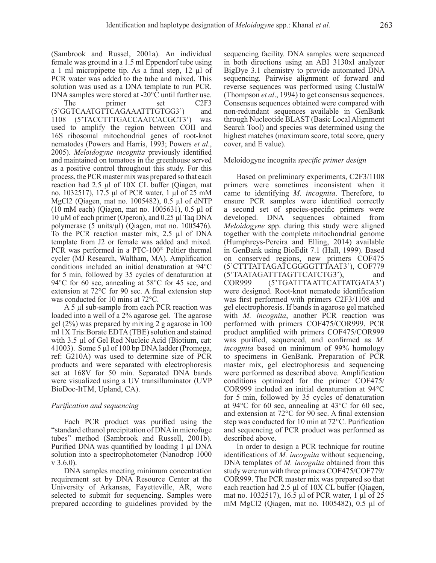(Sambrook and Russel, 2001a). An individual female was ground in a 1.5 ml Eppendorf tube using a 1 ml micropipette tip. As a final step, 12 µl of PCR water was added to the tube and mixed. This solution was used as a DNA template to run PCR. DNA samples were stored at -20°C until further use.

The primer set C2F3 (5'GGTCAATGTTCAGAAATTTGTGG3') and 1108 (5'TACCTTTGACCAATCACGCT3') was used to amplify the region between COII and 16S ribosomal mitochondrial genes of root-knot nematodes (Powers and Harris, 1993; Powers *et al*., 2005). *Meloidogyne incognita* previously identified and maintained on tomatoes in the greenhouse served as a positive control throughout this study. For this process, the PCR master mix was prepared so that each reaction had 2.5 µl of 10X CL buffer (Qiagen, mat no. 1032517), 17.5 µl of PCR water, 1 µl of 25 mM MgCl2 (Qiagen, mat no. 1005482), 0.5 µl of dNTP (10 mM each) (Qiagen, mat no. 1005631), 0.5 µl of 10 µM of each primer (Operon), and 0.25 µl Taq DNA polymerase (5 units/ $\mu$ l) (Qiagen, mat no. 1005476). To the PCR reaction master mix, 2.5 µl of DNA template from J2 or female was added and mixed. PCR was performed in a PTC-100® Peltier thermal cycler (MJ Research, Waltham, MA). Amplification conditions included an initial denaturation at 94°C for 5 min, followed by 35 cycles of denaturation at 94°C for 60 sec, annealing at 58°C for 45 sec, and extension at 72°C for 90 sec. A final extension step was conducted for 10 mins at 72°C.

A 5 µl sub-sample from each PCR reaction was loaded into a well of a 2% agarose gel. The agarose gel (2%) was prepared by mixing 2 g agarose in 100 ml 1X Tris:Borate EDTA (TBE) solution and stained with 3.5 µl of Gel Red Nucleic Acid (Biotium, cat: 41003). Some 5 µl of 100 bp DNA ladder (Promega, ref: G210A) was used to determine size of PCR products and were separated with electrophoresis set at 168V for 50 min. Separated DNA bands were visualized using a UV transilluminator (UVP BioDoc-ItTM, Upland, CA).

## *Purification and sequencing*

Each PCR product was purified using the "standard ethanol precipitation of DNA in microfuge tubes" method (Sambrook and Russell, 2001b). Purified DNA was quantified by loading 1 µl DNA solution into a spectrophotometer (Nanodrop 1000 v 3.6.0).

DNA samples meeting minimum concentration requirement set by DNA Resource Center at the University of Arkansas, Fayetteville, AR, were selected to submit for sequencing. Samples were prepared according to guidelines provided by the

sequencing facility. DNA samples were sequenced in both directions using an ABI 3130xl analyzer BigDye 3.1 chemistry to provide automated DNA sequencing. Pairwise alignment of forward and reverse sequences was performed using ClustalW (Thompson *et al*., 1994) to get consensus sequences. Consensus sequences obtained were compared with non-redundant sequences available in GenBank through Nucleotide BLAST (Basic Local Alignment Search Tool) and species was determined using the highest matches (maximum score, total score, query cover, and E value).

## Meloidogyne incognita *specific primer design*

Based on preliminary experiments, C2F3/1108 primers were sometimes inconsistent when it came to identifying *M. incognita*. Therefore, to ensure PCR samples were identified correctly a second set of species-specific primers were developed. DNA sequences obtained from *Meloidogyne* spp. during this study were aligned together with the complete mitochondrial genome (Humphreys-Pereira and Elling, 2014) available in GenBank using BioEdit 7.1 (Hall, 1999). Based on conserved regions, new primers COF475 (5'CTTTATTAGATCGGGGTTTAAT3'), COF779 (5'TAATAGATTTAGTTCATCTG3'), and COR999 (5'TGATTTAATTCATTATGATA3') were designed. Root-knot nematode identification was first performed with primers C2F3/1108 and gel electrophoresis. If bands in agarose gel matched with *M. incognita*, another PCR reaction was performed with primers COF475/COR999. PCR product amplified with primers COF475/COR999 was purified, sequenced, and confirmed as *M. incognita* based on minimum of 99% homology to specimens in GenBank. Preparation of PCR master mix, gel electrophoresis and sequencing were performed as described above. Amplification conditions optimized for the primer COF475/ COR999 included an initial denaturation at 94°C for 5 min, followed by 35 cycles of denaturation at 94°C for 60 sec, annealing at 43°C for 60 sec, and extension at 72°C for 90 sec. A final extension step was conducted for 10 min at 72°C. Purification and sequencing of PCR product was performed as described above.

In order to design a PCR technique for routine identifications of *M. incognita* without sequencing, DNA templates of *M. incognita* obtained from this study were run with three primers COF475/COF779/ COR999. The PCR master mix was prepared so that each reaction had 2.5 μl of 10X CL buffer (Qiagen, mat no. 1032517), 16.5 μl of PCR water, 1 μl of 25 mM MgCl2 (Qiagen, mat no. 1005482), 0.5 μl of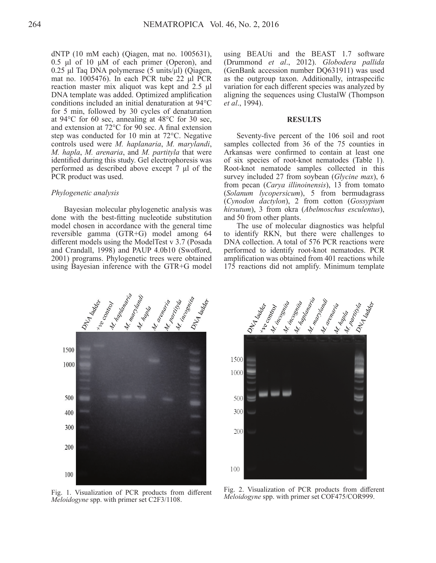dNTP (10 mM each) (Qiagen, mat no. 1005631), 0.5 μl of 10 μM of each primer (Operon), and 0.25 μl Taq DNA polymerase (5 units/μl) (Qiagen, mat no. 1005476). In each PCR tube 22 μl PCR reaction master mix aliquot was kept and 2.5 μl DNA template was added. Optimized amplification conditions included an initial denaturation at 94°C for 5 min, followed by 30 cycles of denaturation at 94°C for 60 sec, annealing at 48°C for 30 sec, and extension at 72°C for 90 sec. A final extension step was conducted for 10 min at 72°C. Negative controls used were *M. haplanaria*, *M. marylandi*, *M. hapla*, *M. arenaria*, and *M. partityla* that were identified during this study. Gel electrophoresis was performed as described above except 7 μl of the PCR product was used.

#### *Phylogenetic analysis*

Bayesian molecular phylogenetic analysis was done with the best-fitting nucleotide substitution model chosen in accordance with the general time reversible gamma (GTR+G) model among 64 different models using the ModelTest v 3.7 (Posada and Crandall, 1998) and PAUP 4.0b10 (Swofford, 2001) programs. Phylogenetic trees were obtained using Bayesian inference with the GTR+G model

using BEAUti and the BEAST 1.7 software (Drummond *et al*., 2012). *Globodera pallida*  (GenBank accession number DQ631911) was used as the outgroup taxon. Additionally, intraspecific variation for each different species was analyzed by aligning the sequences using ClustalW (Thompson *et al*., 1994).

#### **RESULTS**

Seventy-five percent of the 106 soil and root samples collected from 36 of the 75 counties in Arkansas were confirmed to contain at least one of six species of root-knot nematodes (Table 1). Root-knot nematode samples collected in this survey included 27 from soybean (*Glycine max*), 6 from pecan (*Carya illinoinensis*), 13 from tomato (*Solanum lycopersicum*), 5 from bermudagrass (*Cynodon dactylon*), 2 from cotton (*Gossypium hirsutum*), 3 from okra (*Abelmoschus esculentus*), and 50 from other plants.

The use of molecular diagnostics was helpful to identify RKN, but there were challenges to DNA collection. A total of 576 PCR reactions were performed to identify root-knot nematodes. PCR amplification was obtained from 401 reactions while 175 reactions did not amplify. Minimum template



*Meloidogyne* spp. with primer set C2F3/1108.



Fig. 2. Visualization of PCR products from different Fig. 1. Visualization of PCR products from different Fig. 2. Visualization of PCR products from different *Meloidogyne* spp. with primer set COF475/COR999.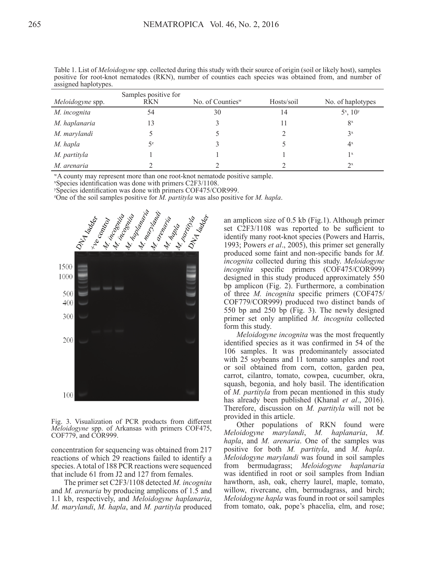| Meloidogyne spp. | Samples positive for<br><b>RKN</b> | No. of Counties $w$ | Hosts/soil | No. of haplotypes |
|------------------|------------------------------------|---------------------|------------|-------------------|
| M. incognita     | 54                                 | 30                  | 14         | $5^x$ , $10^y$    |
| M. haplanaria    | 13                                 |                     | 11         | $8^x$             |
| M. marylandi     |                                    |                     |            | $3^x$             |
| M. hapla         | $5^z$                              |                     |            | $4^x$             |
| M. partityla     |                                    |                     |            | 1 <sup>x</sup>    |
| M. arenaria      |                                    |                     |            | $2^x$             |

Table 1. List of *Meloidogyne* spp. collected during this study with their source of origin (soil or likely host), samples positive for root-knot nematodes (RKN), number of counties each species was obtained from, and number of assigned haplotypes.

wA county may represent more than one root-knot nematode positive sample.

x Species identification was done with primers C2F3/1108.

y Species identification was done with primers COF475/COR999.

z One of the soil samples positive for *M. partityla* was also positive for *M. hapla*.



Fig. 3. Visualization of PCR products from different *Meloidogyne* spp. of Arkansas with primers COF475, COF779, and COR999.

concentration for sequencing was obtained from 217 reactions of which 29 reactions failed to identify a species. A total of 188 PCR reactions were sequenced that include 61 from J2 and 127 from females.

The primer set C2F3/1108 detected *M. incognita* and *M. arenaria* by producing amplicons of 1.5 and 1.1 kb, respectively, and *Meloidogyne haplanaria*, *M. marylandi*, *M. hapla*, and *M. partityla* produced

an amplicon size of 0.5 kb (Fig.1). Although primer set C2F3/1108 was reported to be sufficient to identify many root-knot species (Powers and Harris, 1993; Powers *et al*., 2005), this primer set generally produced some faint and non-specific bands for *M. incognita* collected during this study. *Meloidogyne incognita* specific primers (COF475/COR999) designed in this study produced approximately 550 bp amplicon (Fig. 2). Furthermore, a combination of three *M. incognita* specific primers (COF475/ COF779/COR999) produced two distinct bands of 550 bp and 250 bp (Fig. 3). The newly designed primer set only amplified *M. incognita* collected form this study.

*Meloidogyne incognita* was the most frequently identified species as it was confirmed in 54 of the 106 samples. It was predominantely associated with 25 soybeans and 11 tomato samples and root or soil obtained from corn, cotton, garden pea, carrot, cilantro, tomato, cowpea, cucumber, okra, squash, begonia, and holy basil. The identification of *M. partityla* from pecan mentioned in this study has already been published (Khanal *et al*., 2016). Therefore, discussion on *M. partityla* will not be provided in this article.

Other populations of RKN found were *Meloidogyne marylandi*, *M. haplanaria*, *M. hapla*, and *M. arenaria*. One of the samples was positive for both *M. partityla*, and *M. hapla*. *Meloidogyne marylandi* was found in soil samples from bermudagrass; *Meloidogyne haplanaria*  was identified in root or soil samples from Indian hawthorn, ash, oak, cherry laurel, maple, tomato, willow, rivercane, elm, bermudagrass, and birch; *Meloidogyne hapla* was found in root or soil samples from tomato, oak, pope's phacelia, elm, and rose;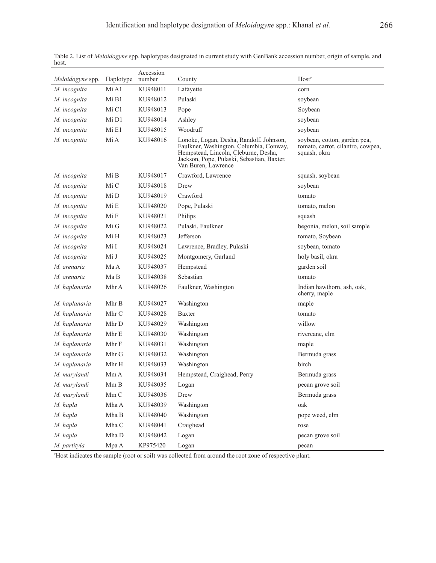| Meloidogyne spp. | Haplotype | Accession<br>number | County                                                                                                                                                                                          | Host <sup>z</sup>                                                                 |
|------------------|-----------|---------------------|-------------------------------------------------------------------------------------------------------------------------------------------------------------------------------------------------|-----------------------------------------------------------------------------------|
| M. incognita     | Mi A1     | KU948011            | Lafayette                                                                                                                                                                                       | corn                                                                              |
| M. incognita     | Mi B1     | KU948012            | Pulaski                                                                                                                                                                                         | soybean                                                                           |
| M. incognita     | Mi C1     | KU948013            | Pope                                                                                                                                                                                            | Soybean                                                                           |
| M. incognita     | Mi D1     | KU948014            | Ashley                                                                                                                                                                                          | soybean                                                                           |
| M. incognita     | Mi E1     | KU948015            | Woodruff                                                                                                                                                                                        | soybean                                                                           |
| M. incognita     | Mi A      | KU948016            | Lonoke, Logan, Desha, Randolf, Johnson,<br>Faulkner, Washington, Columbia, Conway,<br>Hempstead, Lincoln, Cleburne, Desha,<br>Jackson, Pope, Pulaski, Sebastian, Baxter,<br>Van Buren, Lawrence | soybean, cotton, garden pea,<br>tomato, carrot, cilantro, cowpea,<br>squash, okra |
| M. incognita     | Mi B      | KU948017            | Crawford, Lawrence                                                                                                                                                                              | squash, soybean                                                                   |
| M. incognita     | Mi C      | KU948018            | Drew                                                                                                                                                                                            | soybean                                                                           |
| M. incognita     | Mi D      | KU948019            | Crawford                                                                                                                                                                                        | tomato                                                                            |
| M. incognita     | Mi E      | KU948020            | Pope, Pulaski                                                                                                                                                                                   | tomato, melon                                                                     |
| M. incognita     | Mi F      | KU948021            | Philips                                                                                                                                                                                         | squash                                                                            |
| M. incognita     | Mi G      | KU948022            | Pulaski, Faulkner                                                                                                                                                                               | begonia, melon, soil sample                                                       |
| M. incognita     | Mi H      | KU948023            | Jefferson                                                                                                                                                                                       | tomato, Soybean                                                                   |
| M. incognita     | Mi I      | KU948024            | Lawrence, Bradley, Pulaski                                                                                                                                                                      | soybean, tomato                                                                   |
| M. incognita     | Mi J      | KU948025            | Montgomery, Garland                                                                                                                                                                             | holy basil, okra                                                                  |
| M. arenaria      | Ma A      | KU948037            | Hempstead                                                                                                                                                                                       | garden soil                                                                       |
| M. arenaria      | Ma B      | KU948038            | Sebastian                                                                                                                                                                                       | tomato                                                                            |
| M. haplanaria    | Mhr A     | KU948026            | Faulkner, Washington                                                                                                                                                                            | Indian hawthorn, ash, oak,<br>cherry, maple                                       |
| M. haplanaria    | Mhr B     | KU948027            | Washington                                                                                                                                                                                      | maple                                                                             |
| M. haplanaria    | Mhr C     | KU948028            | Baxter                                                                                                                                                                                          | tomato                                                                            |
| M. haplanaria    | Mhr D     | KU948029            | Washington                                                                                                                                                                                      | willow                                                                            |
| M. haplanaria    | Mhr E     | KU948030            | Washington                                                                                                                                                                                      | rivercane, elm                                                                    |
| M. haplanaria    | Mhr F     | KU948031            | Washington                                                                                                                                                                                      | maple                                                                             |
| M. haplanaria    | Mhr G     | KU948032            | Washington                                                                                                                                                                                      | Bermuda grass                                                                     |
| M. haplanaria    | Mhr H     | KU948033            | Washington                                                                                                                                                                                      | birch                                                                             |
| M. marylandi     | MmA       | KU948034            | Hempstead, Craighead, Perry                                                                                                                                                                     | Bermuda grass                                                                     |
| M. marylandi     | Mm B      | KU948035            | Logan                                                                                                                                                                                           | pecan grove soil                                                                  |
| M. marylandi     | Mm C      | KU948036            | Drew                                                                                                                                                                                            | Bermuda grass                                                                     |
| M. hapla         | Mha A     | KU948039            | Washington                                                                                                                                                                                      | oak                                                                               |
| M. hapla         | Mha B     | KU948040            | Washington                                                                                                                                                                                      | pope weed, elm                                                                    |
| M. hapla         | Mha C     | KU948041            | Craighead                                                                                                                                                                                       | rose                                                                              |
| M. hapla         | Mha D     | KU948042            | Logan                                                                                                                                                                                           | pecan grove soil                                                                  |
| M. partityla     | Mpa A     | KP975420            | Logan                                                                                                                                                                                           | pecan                                                                             |

Table 2. List of *Meloidogyne* spp. haplotypes designated in current study with GenBank accession number, origin of sample, and host.

z Host indicates the sample (root or soil) was collected from around the root zone of respective plant.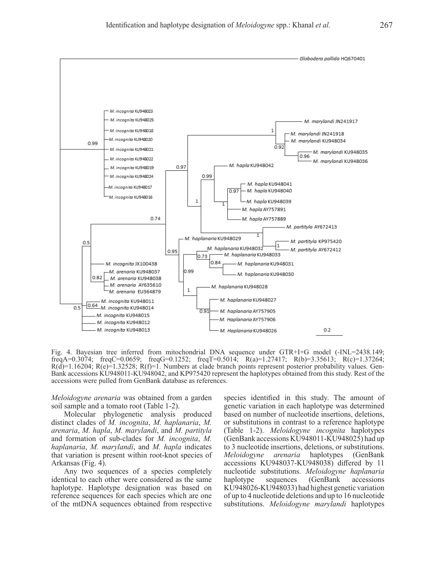

Fig. 4. Bayesian tree inferred from mitochondrial DNA sequence under GTR+I+G model (-INL=2438.149; freqA=0.3074; freqC=0.0659; freqG=0.1252; freqT=0.5014; R(a)=1.27417; R(b)=3.35613; R(c)=1.37264;  $R(d)=1.16204$ ;  $R(e)=1.32528$ ;  $R(f)=1$ . Numbers at clade branch points represent posterior probability values. Gen-Bank accessions KU948011-KU948042, and KP975420 represent the haplotypes obtained from this study. Rest of the accessions were pulled from GenBank database as references.

*Meloidogyne arenaria* was obtained from a garden soil sample and a tomato root (Table 1-2).

Molecular phylogenetic analysis produced distinct clades of *M. incognita*, *M. haplanaria*, *M. arenaria*, *M. hapla*, *M. marylandi*, and *M. partityla* and formation of sub-clades for *M. incognita*, *M. haplanaria*, *M. marylandi*, and *M. hapla* indicates that variation is present within root-knot species of Arkansas (Fig. 4).

Any two sequences of a species completely identical to each other were considered as the same haplotype. Haplotype designation was based on reference sequences for each species which are one of the mtDNA sequences obtained from respective species identified in this study. The amount of genetic variation in each haplotype was determined based on number of nucleotide insertions, deletions, or substitutions in contrast to a reference haplotype (Table 1-2). *Meloidogyne incognita* haplotypes (GenBank accessions KU948011-KU948025) had up to 3 nucleotide insertions, deletions, or substitutions. *Meloidogyne arenaria* haplotypes (GenBank accessions KU948037-KU948038) differed by 11 nucleotide substitutions. *Meloidogyne haplanaria* haplotype sequences (GenBank accessions KU948026-KU948033) had highest genetic variation of up to 4 nucleotide deletions and up to 16 nucleotide substitutions. *Meloidogyne marylandi* haplotypes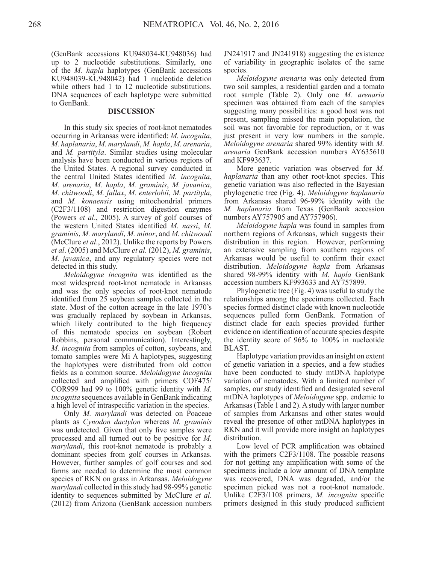(GenBank accessions KU948034-KU948036) had up to 2 nucleotide substitutions. Similarly, one of the *M. hapla* haplotypes (GenBank accessions KU948039-KU948042) had 1 nucleotide deletion while others had 1 to 12 nucleotide substitutions. DNA sequences of each haplotype were submitted to GenBank.

#### **DISCUSSION**

In this study six species of root-knot nematodes occurring in Arkansas were identified: *M. incognita*, *M. haplanaria*, *M. marylandi*, *M. hapla*, *M. arenaria*, and *M. partityla*. Similar studies using molecular analysis have been conducted in various regions of the United States. A regional survey conducted in the central United States identified *M. incognita*, *M. arenaria*, *M. hapla*, *M. graminis*, *M. javanica*, *M. chitwoodi*, *M. fallax*, *M. enterlobii*, *M. partityla*, and *M. konaensis* using mitochondrial primers (C2F3/1108) and restriction digestion enzymes (Powers *et al*., 2005). A survey of golf courses of the western United States identified *M. nassi*, *M. graminis*, *M. marylandi*, *M. minor*, and *M. chitwoodi* (McClure *et al*., 2012). Unlike the reports by Powers *et al*. (2005) and McClure *et al.* (2012), *M. graminis*, *M. javanica*, and any regulatory species were not detected in this study.

*Meloidogyne incognita* was identified as the most widespread root-knot nematode in Arkansas and was the only species of root-knot nematode identified from 25 soybean samples collected in the state. Most of the cotton acreage in the late 1970's was gradually replaced by soybean in Arkansas, which likely contributed to the high frequency of this nematode species on soybean (Robert Robbins, personal communication). Interestingly, *M. incognita* from samples of cotton, soybeans, and tomato samples were Mi A haplotypes, suggesting the haplotypes were distributed from old cotton fields as a common source. *Meloidogyne incognita*  collected and amplified with primers COF475/ COR999 had 99 to 100% genetic identity with *M. incognita* sequences available in GenBank indicating a high level of intraspecific variation in the species.

Only *M. marylandi* was detected on Poaceae plants as *Cynodon dactylon* whereas *M. graminis*  was undetected. Given that only five samples were processed and all turned out to be positive for *M. marylandi*, this root-knot nematode is probably a dominant species from golf courses in Arkansas. However, further samples of golf courses and sod farms are needed to determine the most common species of RKN on grass in Arkansas. *Meloidogyne marylandi* collected in this study had 98-99% genetic identity to sequences submitted by McClure *et al*. (2012) from Arizona (GenBank accession numbers

JN241917 and JN241918) suggesting the existence of variability in geographic isolates of the same species.

*Meloidogyne arenaria* was only detected from two soil samples, a residential garden and a tomato root sample (Table 2). Only one *M. arenaria* specimen was obtained from each of the samples suggesting many possibilities: a good host was not present, sampling missed the main population, the soil was not favorable for reproduction, or it was just present in very low numbers in the sample. *Meloidogyne arenaria* shared 99% identity with *M. arenaria* GenBank accession numbers AY635610 and KF993637.

More genetic variation was observed for *M. haplanaria* than any other root-knot species. This genetic variation was also reflected in the Bayesian phylogenetic tree (Fig. 4). *Meloidogyne haplanaria*  from Arkansas shared 96-99% identity with the *M. haplanaria* from Texas (GenBank accession numbers AY757905 and AY757906).

*Meloidogyne hapla* was found in samples from northern regions of Arkansas, which suggests their distribution in this region. However, performing an extensive sampling from southern regions of Arkansas would be useful to confirm their exact distribution. *Meloidogyne hapla* from Arkansas shared 98-99% identity with *M. hapla* GenBank accession numbers KF993633 and AY757899.

Phylogenetic tree (Fig. 4) was useful to study the relationships among the specimens collected. Each species formed distinct clade with known nucleotide sequences pulled form GenBank. Formation of distinct clade for each species provided further evidence on identification of accurate species despite the identity score of 96% to 100% in nucleotide BLAST.

Haplotype variation provides an insight on extent of genetic variation in a species, and a few studies have been conducted to study mtDNA haplotype variation of nematodes. With a limited number of samples, our study identified and designated several mtDNA haplotypes of *Meloidogyne* spp. endemic to Arkansas (Table 1 and 2). A study with larger number of samples from Arkansas and other states would reveal the presence of other mtDNA haplotypes in RKN and it will provide more insight on haplotypes distribution.

Low level of PCR amplification was obtained with the primers C2F3/1108. The possible reasons for not getting any amplification with some of the specimens include a low amount of DNA template was recovered, DNA was degraded, and/or the specimen picked was not a root-knot nematode. Unlike C2F3/1108 primers, *M. incognita* specific primers designed in this study produced sufficient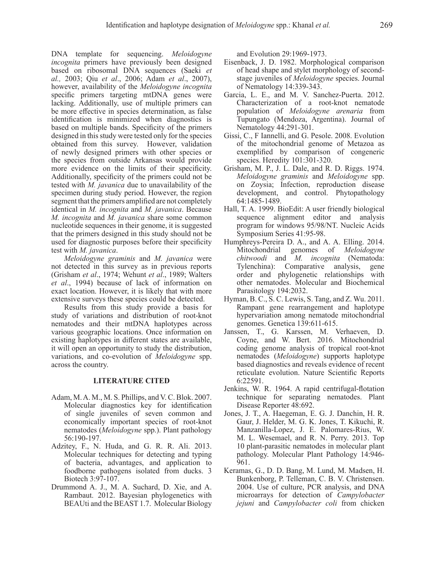DNA template for sequencing. *Meloidogyne incognita* primers have previously been designed based on ribosomal DNA sequences (Saeki *et al.,* 2003; Qiu *et al*., 2006; Adam *et al*., 2007), however, availability of the *Meloidogyne incognita* specific primers targeting mtDNA genes were lacking. Additionally, use of multiple primers can be more effective in species determination, as false identification is minimized when diagnostics is based on multiple bands. Specificity of the primers designed in this study were tested only for the species obtained from this survey. However, validation of newly designed primers with other species or the species from outside Arkansas would provide more evidence on the limits of their specificity. Additionally, specificity of the primers could not be tested with *M. javanica* due to unavailability of the specimen during study period. However, the region segment that the primers amplified are not completely identical in *M. incognita* and *M. javanica*. Because *M. incognita* and *M. javanica* share some common nucleotide sequences in their genome, it is suggested that the primers designed in this study should not be used for diagnostic purposes before their specificity test with *M. javanica*.

*Meloidogyne graminis* and *M. javanica* were not detected in this survey as in previous reports (Grisham *et al*., 1974; Wehunt *et al*., 1989; Walters *et al*., 1994) because of lack of information on exact location. However, it is likely that with more extensive surveys these species could be detected.

Results from this study provide a basis for study of variations and distribution of root-knot nematodes and their mtDNA haplotypes across various geographic locations. Once information on existing haplotypes in different states are available, it will open an opportunity to study the distribution, variations, and co-evolution of *Meloidogyne* spp. across the country.

## **LITERATURE CITED**

- Adam, M. A. M., M. S. Phillips, and V. C. Blok. 2007. Molecular diagnostics key for identification of single juveniles of seven common and economically important species of root-knot nematodes (*Meloidogyne* spp.). Plant pathology 56:190-197.
- Adzitey, F., N. Huda, and G. R. R. Ali. 2013. Molecular techniques for detecting and typing of bacteria, advantages, and application to foodborne pathogens isolated from ducks. 3 Biotech 3:97-107.
- Drummond A. J., M. A. Suchard, D. Xie, and A. Rambaut. 2012. Bayesian phylogenetics with BEAUti and the BEAST 1.7. Molecular Biology

and Evolution 29:1969-1973.

- Eisenback, J. D. 1982. Morphological comparison of head shape and stylet morphology of secondstage juveniles of *Meloidogyne* species. Journal of Nematology 14:339-343.
- Garcia, L. E., and M. V. Sanchez-Puerta. 2012. Characterization of a root-knot nematode population of *Meloidogyne arenaria* from Tupungato (Mendoza, Argentina). Journal of Nematology 44:291-301.
- Gissi, C., F Iannelli, and G. Pesole. 2008. Evolution of the mitochondrial genome of Metazoa as exemplified by comparison of congeneric species. Heredity 101:301-320.
- Grisham, M. P., J. L. Dale, and R. D. Riggs. 1974. *Meloidogyne graminis* and *Meloidogyne* spp. on Zoysia; Infection, reproduction disease development, and control. Phytopathology 64:1485-1489.
- Hall, T. A. 1999. BioEdit: A user friendly biological sequence alignment editor and analysis program for windows 95/98/NT. Nucleic Acids Symposium Series 41:95-98.
- Humphreys-Pereira D. A., and A. A. Elling. 2014. Mitochondrial genomes of *Meloidogyne chitwoodi* and *M. incognita* (Nematoda: Tylenchina): Comparative analysis, gene order and phylogenetic relationships with other nematodes. Molecular and Biochemical Parasitology 194:2032.
- Hyman, B. C., S. C. Lewis, S. Tang, and Z. Wu. 2011. Rampant gene rearrangement and haplotype hypervariation among nematode mitochondrial genomes. Genetica 139:611-615.
- Janssen, T., G. Karssen, M. Verhaeven, D. Coyne, and W. Bert. 2016. Mitochondrial coding genome analysis of tropical root-knot nematodes (*Meloidogyne*) supports haplotype based diagnostics and reveals evidence of recent reticulate evolution. Nature Scientific Reports 6:22591.
- Jenkins, W. R. 1964. A rapid centrifugal-flotation technique for separating nematodes. Plant Disease Reporter 48:692.
- Jones, J. T., A. Haegeman, E. G. J. Danchin, H. R. Gaur, J. Helder, M. G. K. Jones, T. Kikuchi, R. Manzanilla-Lopez, J. E. Palomares-Rius, W. M. L. Wesemael, and R. N. Perry. 2013. Top 10 plant-parasitic nematodes in molecular plant pathology. Molecular Plant Pathology 14:946- 961.
- Keramas, G., D. D. Bang, M. Lund, M. Madsen, H. Bunkenborg, P. Telleman, C. B. V. Christensen. 2004. Use of culture, PCR analysis, and DNA microarrays for detection of *Campylobacter jejuni* and *Campylobacter coli* from chicken